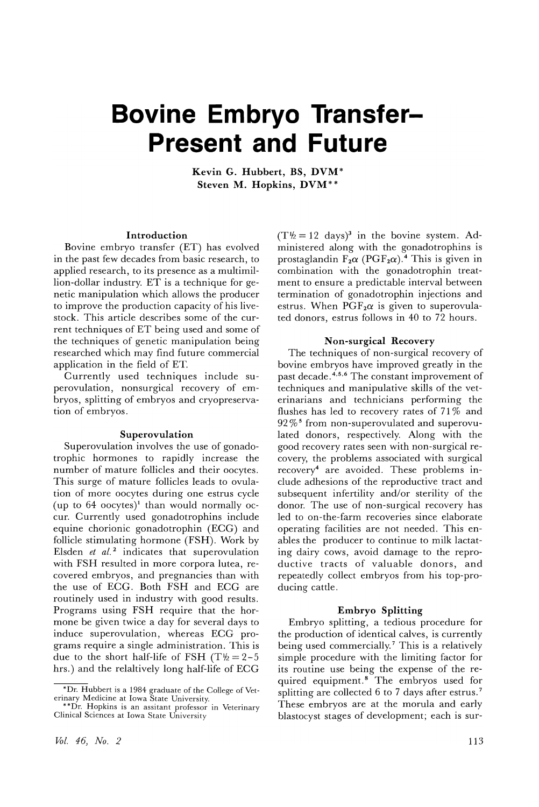## **Bovine Embryo Transfer-Present and Future**

**Kevin G. Hubbert, BS, DVM\* Steven M. Hopkins, DVM\* \***

### **Introduction**

Bovine embryo transfer (ET) has evolved in the past few decades from basic research, to applied research, to its presence as a multimillion-dollar industry. ET is a technique for genetic manipulation which allows the producer to improve the production capacity of his livestock. This article describes some of the current techniques of ET being used and some of the techniques of genetic manipulation being researched which may find future commercial application in the field of ET.

Currently used techniques include superovulation, nonsurgical recovery of embryos, splitting of embryos and cryopreservation of embryos.

#### **Superovulation**

Superovulation involves the use of gonadotrophic hormones to rapidly increase the number of mature follicles and their oocytes. This surge of mature follicles leads to ovulation of more oocytes during one estrus cycle (up to  $64$  oocytes)<sup>1</sup> than would normally occur. Currently used gonadotrophins include equine chorionic gonadotrophin (ECG) and follicle stimulating hormone (FSH). Work by Elsden *et at.* <sup>2</sup> indicates that superovulation with FSH resulted in more corpora lutea, recovered embryos, and pregnancies than with the use of ECG. Both FSH and ECG are routinely used in industry with good results. Programs using FSH require that the hormone be given twice a day for several days to induce superovulation, whereas ECG programs require a single administration. This is due to the short half-life of FSH (T $\frac{1}{2}$  = 2-5 hrs.) and the relaltively long half-life of ECG  $(T\frac{1}{2} = 12$  days)<sup>3</sup> in the bovine system. Administered along with the gonadotrophins is prostaglandin  $F_2\alpha$  (PGF<sub>2</sub> $\alpha$ ).<sup>4</sup> This is given in combination with the gonadotrophin treatment to ensure a predictable interval between termination of gonadotrophin injections and estrus. When  $PGF<sub>2</sub>\alpha$  is given to superovulated donors, estrus follows in 40 to 72 hours.

#### **Non-surgical Recovery**

The techniques of non-surgical recovery of bovine embryos have improved greatly in the past decade. 4,5,6 The constant improvement of techniques and manipulative skills of the veterinarians and technicians performing the flushes has led to recovery rates of 71 % and  $92\,\%$ <sup>5</sup> from non-superovulated and superovulated donors, respectively. Along with the good recovery rates seen with non-surgical recovery, the problems associated with surgical recovery4 are avoided. These problems include adhesions of the reproductive tract and subsequent infertility and/or sterility of the donor. The use of non-surgical recovery has led to on-the-farm recoveries since elaborate operating facilities are not needed. This enables the producer to continue to milk lactating dairy cows, avoid damage to the reproductive tracts of valuable donors, and repeatedly collect embryos from his top-producing cattle.

#### **Embryo Splitting**

Embryo splitting, a tedious procedure for the production of identical calves, is currently being used commercially.7 This is a relatively simple procedure with the limiting factor for its routine use being the expense of the required equipment. <sup>8</sup> The embryos used for splitting are collected  $6$  to  $7$  days after estrus.<sup>7</sup> These embryos are at the morula and early These embryos are at the morula and early blastocyst stages of development; each is sur-

<sup>\*</sup>Dr. Hubbert is a 1984 graduate of the College of Vet-

<sup>\*\*</sup>Dr. Hopkins is an assitant professor in Veterinary \*\*Dr. Hopkins is an assitant professor in Veterinary Clinical Sciences at Iowa State University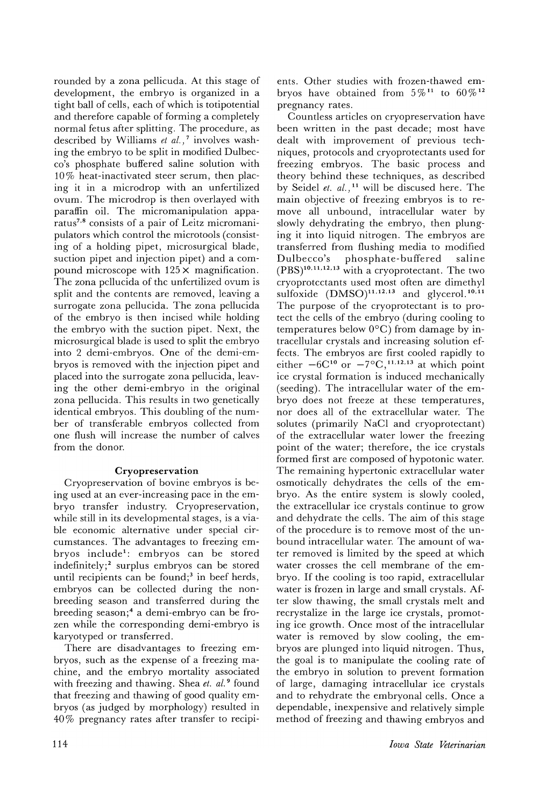rounded by a zona pellicuda. At this stage of development, the embryo is organized in a tight ball of cells, each of which is totipotential and therefore capable of forming a completely normal fetus after splitting. The procedure, as described by Williams *et al.)* <sup>7</sup> involves washing the embryo to be split in modified Dulbecco's phosphate buffered saline solution with 10% heat-inactivated steer serum, then placing it in a microdrop with an unfertilized ovum. The microdrop is then overlayed with paraffin oil. The micromanipulation apparatus<sup>7,8</sup> consists of a pair of Leitz micromanipulators which control the microtools (consisting of a holding pipet, microsurgical blade, suction pipet and injection pipet) and a compound microscope with  $125 \times$  magnification. The zona pellucida of the unfertilized ovum is split and the contents are removed, leaving a surrogate zona pellucida. The zona pellucida of the embryo is then incised while holding the embryo with the suction pipet. Next, the microsurgical blade is used to split the embryo into 2 demi-ernbryos. One of the demi-embryos is removed with the injection pipet and placed into the surrogate zona pellucida, leaving the other demi-embryo in the original zona pellucida. This results in two genetically identical embryos. This doubling of the number of transferable embryos collected from one flush will increase the number of calves from the donor.

## Cryopreservation

Cryopreservation of bovine embryos is being used at an ever-increasing pace in the embryo transfer industry. Cryopreservation, while still in its developmental stages, is a viable economic alternative under special circumstances. The advantages to freezing embryos include<sup>1</sup>: embryos can be stored indefinitely;2 surplus embryos can be stored until recipients can be found;<sup>3</sup> in beef herds, embryos can be collected during the nonbreeding season and transferred during the breeding season;4 a demi-embryo can be frozen while the corresponding demi-embryo is karyotyped or transferred.

There are disadvantages to freezing embryos, such as the expense of a freezing machine, and the embryo mortality associated with freezing and thawing. Shea *et. al. <sup>9</sup>* found that freezing and thawing of good quality embryos (as judged by morphology) resulted in 40 % pregnancy rates after transfer to recipients. Other studies with frozen-thawed embryos have obtained from  $5\%$ <sup>11</sup> to  $60\%$ <sup>12</sup> pregnancy rates.

Countless articles on cryopreservation have been written in the past decade; most have dealt with improvement of previous techniques, protocols and cryoprotectants used for freezing embryos. The basic process and theory behind these techniques, as described by Seidel *et. al.)* <sup>11</sup> will be discused here. The main objective of freezing embryos is to remove all unbound, intracellular water by slowly dehydrating the embryo, then plunging it into liquid nitrogen. The embryos are transferred from flushing media to modified Dulbecco's phosphate-buffered saline (PBS)10.11.12.13 with a cryoprotectant. The two cryoprotectants used most often are dimethyl sulfoxide (DMSO)<sup>11,12,13</sup> and glycerol.<sup>10,11</sup> The purpose of the cryoprotectant is to protect the cells of the embryo (during cooling to temperatures below  $0^{\circ}$ C) from damage by intracellular crystals and increasing solution effects. The embryos are first cooled rapidly to either  $-6C^{10}$  or  $-7\degree C$ , <sup>11, 12, 13</sup> at which point ice crystal formation is induced mechanically (seeding). The intracellular water of the embryo does not freeze at these temperatures, nor does all of the extracellular water. The solutes (primarily NaCl and cryoprotectant) of the extracellular water lower the freezing point of the water; therefore, the ice crystals formed first are composed of hypotonic water. The remaining hypertonic extracellular water osmotically dehydrates the cells of the embryo. As the entire system is slowly cooled, the extracellular ice crystals continue to grow and dehydrate the cells. The aim of this stage of the procedure is to remove most of the unbound intracellular water. The amount of water removed is limited by the speed at which water crosses the cell membrane of the embryo. If the cooling is too rapid, extracellular water is frozen in large and small crystals. After slow thawing, the small crystals melt and recrystalize in the large ice crystals, promoting ice growth. Once most of the intracellular water is removed by slow cooling, the embryos are plunged into liquid nitrogen. Thus, the goal is to manipulate the cooling rate of the embryo in solution to prevent formation of large, damaging intracellular ice crystals and to rehydrate the embryonal cells. Once a dependable, inexpensive and relatively simple method of freezing and thawing embryos and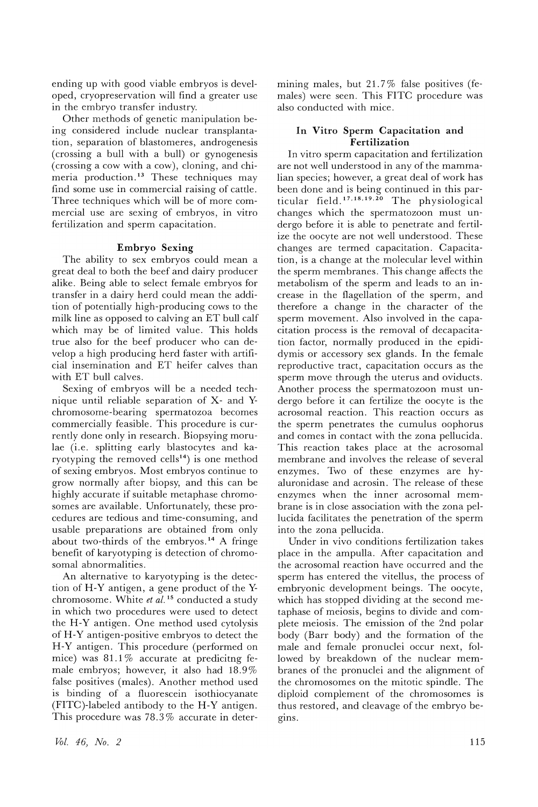ending up with good viable embryos is developed, cryopreservation will find a greater use in the embryo transfer industry.

Other methods of genetic manipulation being considered include nuclear transplantation, separation of blastomeres, androgenesis (crossing a bull with a bull) or gynogenesis (crossing a cow with a cow), cloning, and chimeria production.<sup>13</sup> These techniques may find some use in commercial raising of cattle. Three techniques which will be of more commercial use are sexing of embryos, in vitro fertilization and sperm capacitation.

#### **Embryo Sexing**

The ability to sex embryos could mean a great deal to both the beef and dairy producer alike. Being able to select female embryos for transfer in a dairy herd could mean the addition of potentially high-producing cows to the milk line as opposed to calving an ET bull calf which may be of limited value. This holds true also for the beef producer who can develop a high producing herd faster with artificial insemination and ET heifer calves than with ET bull calves.

Sexing of embryos will be a needed technique until reliable separation of X- and Ychromosome-bearing spermatozoa becomes commercially feasible. This procedure is currently done only in research. Biopsying morulae (i.e. splitting early blastocytes and karyotyping the removed cells<sup>14</sup>) is one method of sexing embryos. Most embryos continue to grow normally after biopsy, and this can be highly accurate if suitable metaphase chromosomes are available. Unfortunately, these procedures are tedious and time-consuming, and usable preparations are obtained from only about two-thirds of the embryos.<sup>14</sup> A fringe benefit of karyotyping is detection of chromosomal abnormalities.

An alternative to karyotyping is the detection of H-Y antigen, a gene product of the Ychromosome. White *et al.* <sup>15</sup> conducted a study in which two procedures were used to detect the H-Y antigen. One method used cytolysis of H-Y antigen-positive embryos to detect the H-Y antigen. This procedure (performed on mice) was  $81.1\%$  accurate at predicitng female embryos; however, it also had 18.9% false positives (males). Another method used is binding of a fluorescein isothiocyanate (FITC)-labeled antibody to the H -Y antigen. This procedure was 78.3% accurate in determining males, but  $21.7\%$  false positives (females) were seen. This FITC procedure was also conducted with mice.

#### **In Vitro Sperm Capacitation and Fertilization**

In vitro sperm capacitation and fertilization are not well understood in any of the mammalian species; however, a great deal of work has been done and is being continued in this particular field. <sup>17</sup> ,18,19,2o The physiological changes which the spermatozoon must undergo before it is able to penetrate and fertilize the oocyte are not well understood. These changes are termed capacitation. Capacitation, is a change at the molecular level within the sperm membranes. This change affects the metabolism of the sperm and leads to an increase in the flagellation of the sperm, and therefore a change in the character of the sperm movement. Also involved in the capacitation process is the removal of decapacitation factor, normally produced in the epididymis or accessory sex glands. In the female reproductive tract, capacitation occurs as the sperm move through the uterus and oviducts. Another process the spermatozoon must undergo before it can fertilize the oocyte is the acrosomal reaction. This reaction occurs as the sperm penetrates the cumulus oophorus and comes in contact with the zona pellucida. This reaction takes place at the acrosomal membrane and involves the release of several enzymes. Two of these enzymes are hyaluronidase and acrosin. The release of these enzymes when the inner acrosomal membrane is in close association with the zona pellucida facilitates the penetration of the sperm into the zona pellucida.

Under in vivo conditions fertilization takes place in the ampulla. After capacitation and the acrosomal reaction have occurred and the sperm has entered the vitellus, the process of embryonic development beings. The oocyte, which has stopped dividing at the second metaphase of meiosis, begins to divide and complete meiosis. The emission of the 2nd polar body (Barr body) and the formation of the male and female pronuclei occur next, followed by breakdown of the nuclear membranes of the pronuclei and the alignment of the chromosomes on the mitotic spindle. The diploid complement of the chromosomes is thus restored, and cleavage of the embryo begIns.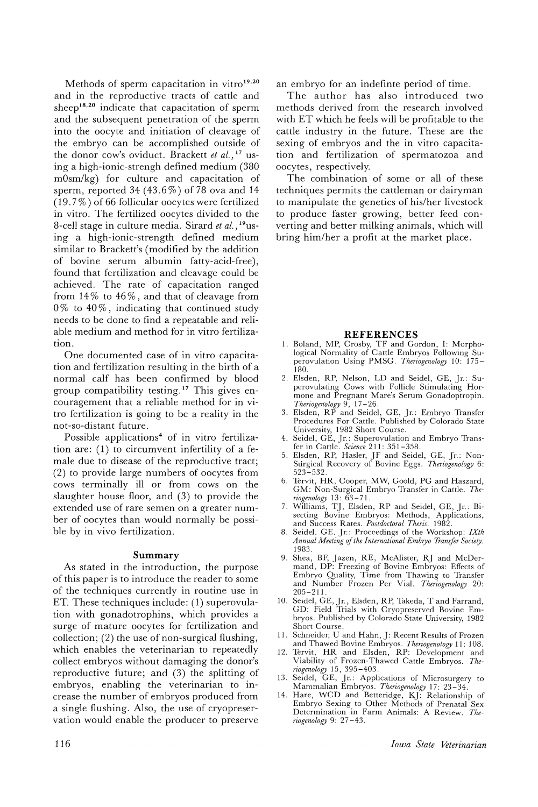Methods of sperm capacitation in vitro $19,20$ and in the reproductive tracts of cattle and sheep<sup>18,20</sup> indicate that capacitation of sperm and the subsequent penetration of the sperm into the oocyte and initiation of cleavage of the embryo can be accomplished outside of the donor cow's oviduct. Brackett *et al.)* <sup>17</sup> using a high-ionic-strengh defined medium (380 mOsm/kg) for culture and capacitation of sperm, reported 34 (43.6%) of 78 ova and 14 (19. 7 % ) of 66 follicular oocytes were fertilized in vitro. The fertilized oocytes divided to the 8-cell stage in culture media. Sirard *et al.*, <sup>19</sup>using a high-ionic-strength defined medium similar to Brackett's (modified by the addition of bovine serum albumin fatty-acid-free), found that fertilization and cleavage could be achieved. The rate of capacitation ranged from  $14\%$  to  $46\%$ , and that of cleavage from  $0\%$  to  $40\%$ , indicating that continued study needs to be done to find a repeatable and reliable medium and method for in vitro fertilization.

One documented case of in vitro capacitation and fertilization resulting in the birth of a normal calf has been confirmed by blood group compatibility testing. <sup>17</sup> This gives encouragement that a reliable method for in vitro fertilization is going to be a reality in the not-so-distant future.

Possible applications<sup>4</sup> of in vitro fertilization are: (1) to circumvent infertility of a female due to disease of the reproductive tract; (2) to provide large numbers of oocytes from cows terminally ill or from cows on the slaughter house floor, and (3) to provide the extended use of rare semen on a greater number of oocytes than would normally be possible by in vivo fertilization.

#### **Summary**

As stated in the introduction, the purpose of this paper is to introduce the reader to some of the techniques currently in routine use in ET. These techniques include: (1) superovulation with gonadotrophins, which provides a surge of mature oocytes for fertilization and collection; (2) the use of non-surgical flushing, which enables the veterinarian to repeatedly collect embryos without damaging the donor's reproductive future; and (3) the splitting of embryos, enabling the veterinarian to increase the number of embryos produced from a single flushing. Also, the use of cryopreservation would enable the producer to preserve

an embryo for an indefinte period of time.

The author has also introduced two methods derived from the research involved with ET which he feels will be profitable to the cattle industry in the future. These are the sexing of embryos and the in vitro capacitation and fertilization of spermatozoa and oocytes, respectively.

The combination of some or all of these techniques permits the cattleman or dairyman to manipulate the genetics of his/her livestock to produce faster growing, better feed converting and better milking animals, which will bring him/her a profit at the market place.

#### **REFERENCES**

- 1. Boland, MP, Crosby, TF and Gordon, I: Morpho-logical Normality of Cattle Embryos Following Superovulation Using PMSG. *Theriogenology* 10: 175- 180.
- 2. Elsden, RP, Nelson, LD and Seidel, GE, Jr.: Superovulating Cows with Follicle Stimulating Hormone and Pregnant Mare's Serum Gonadoptropin.
- *Theriogenology* 9, 17–26.<br>3. Elsden, RP and Seidel, GE, Jr.: Embryo Transfer Procedures For Cattle. Published by Colorado State University, 1982 Short Course.
- 4. Seidel, GE, Jr.: Superovulation and Embryo Trans-
- fer in Cattle. *Science* 211: 351-358. 5. Elsden, RP, Hasler, JF and Seidel, GE, Jr.: Non-Surgical Recovery of Bovine Eggs. *Theriogenology 6:* 523-532.
- 6. Tervit, HR, Cooper, MW, Goold, PG and Haszard, GM: Non-Surgical Embryo Transfer in Cattle. *Theriogenology* 13: 63 - 71 .
- 7. Williams, TJ, Elsden, RP and Seidel, GE, Jr.: Bisecting Bovine Embryos: Methods, Applications, and Success Rates. *Postdoctoral Thesis. 1982.*
- 8. SeideL G E, Jr.: Proceedings of the Workshop: *IXth Annual Meeting ojthe International Embryo 7ransfer Society.*
- 1983. 9. Shea, BF, Jazen, RE, McAlister, RJ and McDer-mand, DP: Freezing of Bovine Embryos: Effects of Embryo Quality, Time from Thawing to Transfer and Number Frozen Per Vial. *Theriogenology 20:* 205-211.
- 10. Seidel, GE,Jr., Elsden, RP, Takeda, Tand Farrand, GD: Field Trials with Cryopreserved Bovine Embryos. Published by Colorado State University, 1982 Short Course.
- 11. Schneider, U and Hahn, J: Recent Results of Frozen and Thawed Bovine Embryos. *Theriogenology* 11: 108.
- 12. Tervit, HR and Elsden, RP: Development and Viability of Frozen-Thawed Cattle Embryos. *Theriogenology* 15, 395 -403.
- 13. Seidel, GE, Jr.: Applications of Microsurgery to<br>Mammalian Embryos. *Theriogenology* 17: 23–34.<br>14. Hare, WCD and Betteridge, KJ: Relationship of
- Embryo Sexing to Other Methods of Prenatal Sex Determination in Farm Animals: A Review. *Theriogenology* 9: 27 - 43.